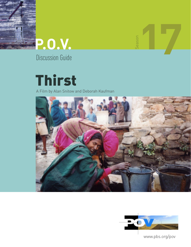



Season

Discussion Guide

# **Thirst**

A Film by Alan Snitow and Deborah Kaufman





www.pbs.org/pov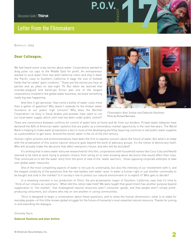# **Letter From the Filmmakers**

BERKELEY, 2004

### **Dear Colleague,**

We had heard some crazy stories about water: Corporations wanted to drag polar ice caps to the Middle East for profit. An entrepreneur wanted to suck water from two wild California rivers and ship it down the Pacific coast to Southern California in bags the size of football fields that he called "giant condoms." These are the stories you hear at parties and as jokes on late-night TV. But when we learned that scandal-plagued and bankrupt Enron was one of the largest corporations involved in the global water business, we knew something really big was happening.

And then it got personal. How come a bottle of water costs more than a gallon of gasoline? Why doesn't anybody fix the broken water fountains at our public high schools? Why does the Bechtel Corporation—so busy in Saudi Arabia and postwar Iraq—want to run our local water supply, which until now has been under public control?



*Filmmakers Alan Snitow and Deborah Kaufman* Photo by Richard Bermack

There are connections between conflicts for control of water here at home and far from our borders. Private-water lobbyists have declared the 85% of American water systems that are public as a tremendous market opportunity in the next few years. The World Bank is helping to make water privatization a fact in most of the developing world by requiring countries to sell public water supplies as a precondition to get loans. Around the world, water is the oil of the 21st century.

**P.O.V.** 

Human-rights activists and environmentalists have been the first to express concern about the future of water. But what's at stake with the privatization of this scarce natural resource goes beyond the work of advocacy groups. It's the notion of democracy itself: Who will actually make the decisions that affect everyone's future, and who will be excluded?

It's striking that in every water story we researched for this film, corporations with household names like Coca-Cola and Nestlé seemed to be hard at work trying to prevent citizens from voting on or even knowing about decisions that would affect their lives. That convinced us to tell the water story from the point of view of the "water warriors," those opposing corporate attempts to take over global water resources.

One of the most compelling aspects of water is not just its universality, but also the intensity of our involvement with it, and the elegant simplicity of the questions that the new battles over water raise: Is water a human right or just another commodity to be bought and sold in the market? Is it society's role to protect our natural environment or to exploit it? Who gets to decide?

In a revealing moment in our production of *Thirst*, the pro-privatization mayor of Stockton, California, says that it's time to "think of our citizens as customers." When did this notion take hold? We were taught that government has another purpose beyond supplication to "the market," that endangered natural resources aren't consumer goods, and that people aren't simply profitproducing consumers, but citizens who rely on one another in caring communities.

*Thirst* is designed to begin a conversation about these questions, and to show the human dimensions—what is at stake for everyday people—of this little-known global struggle for the future of humanity's most essential natural resource. Thanks for joining in and extending the dialogue.

*Sincerely Yours,*

#### **Deborah Kaufman and Alan Snitow**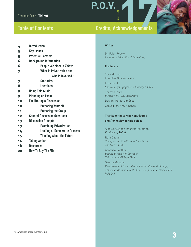# **Table of Contents**

# **Credits, Acknowledgements**

| 4  | <b>Introduction</b>                  |
|----|--------------------------------------|
| 5  | <b>Key Issues</b>                    |
| 5  | <b>Potential Partners</b>            |
| 6  | <b>Background Information</b>        |
| 6  | People We Meet in Thirst             |
| 7  | <b>What Is Privatization and</b>     |
|    | Who Is Involved?                     |
| 7  | <b>Statistics</b>                    |
| 8  | <b>Locations</b>                     |
| 9  | <b>Using This Guide</b>              |
| 9  | <b>Planning an Event</b>             |
| 10 | <b>Facilitating a Discussion</b>     |
| 10 | <b>Preparing Yourself</b>            |
| 11 | <b>Preparing the Group</b>           |
| 12 | <b>General Discussion Questions</b>  |
| 13 | <b>Discussion Prompts</b>            |
| 13 | <b>Examining Privatization</b>       |
| 14 | <b>Looking at Democratic Process</b> |
| 15 | <b>Thinking About the Future</b>     |
| 16 | <b>Taking Action</b>                 |
| 18 | <b>Resources</b>                     |
| 20 | <b>How To Buy The Film</b>           |
|    |                                      |

#### **Writer**

**P.O.V.** 

Dr. Faith Rogow *Insighters Educational Consulting*

#### **Producers**

Cara Mertes *Executive Director, P.O.V.* Eliza Licht *Community Engagement Manager, P.O.V.* Theresa Riley *Director of P.O.V. Interactive*  Design: Rafael Jiménez Copyeditor: Amy Vinchesi

### **Thanks to those who contributed and / or reviewed this guide:**

Alan Snitow and Deborah Kaufman *Producers, Thirst*

Ruth Caplan *Chair, Water Privitization Task Force The Sierra Club*

Annalisa Loeffler *Deputy Director of Outreach Thirteen/WNET New York*

George Mehaffy *Vice President for Academic Leadership and Change, American Association of State Colleges and Universities (AASCU)*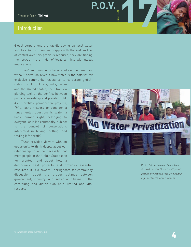## **Introduction**

Global corporations are rapidly buying up local water supplies. As communities grapple with the sudden loss of control over this precious resource, they are finding themselves in the midst of local conflicts with global implications.

*Thirst*, an hour-long, character-driven documentary without narration reveals how water is the catalyst for explosive community resistance to corporate global-

ization. Shot in Bolivia, India, Japan and the United States, the film is a piercing look at the conflict between public stewardship and private profit. As it profiles privatization projects, *Thirst* asks viewers to consider a fundamental question: Is water a basic human right, belonging to everyone, or is it a commodity, subject to the control of corporations interested in buying, selling, and trading it for profit?

*Thirst* provides viewers with an opportunity to think deeply about our relationship to a life necessity that most people in the United States take for granted, and about how a

democracy best protects and provides essential resources. It is a powerful springboard for community discussion about the proper balance between government, industry, and individual citizens in the caretaking and distribution of a limited and vital resource.



**P.O.V.** 

Photo: Snitow-Kaufman Productions *Protest outside Stockton City Hall before city council vote on privatizing Stockton's water system*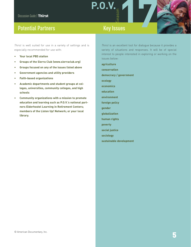# **Potential Partners**

*Thirst* is well suited for use in a variety of settings and is especially recommended for use with:

- **Your local PBS station**
- **Groups of the Sierra Club (www.sierraclub.org)**
- **Groups focused on any of the issues listed above**
- **Government agencies and utility providers**
- **Faith-based organizations**
- **Academic departments and student groups at colleges, universities, community colleges, and high schools**
- **Community organizations with a mission to promote education and learning such as P.O.V.'s national partners Elderhostel Learning in Retirement Centers; members of the Listen Up! Network; or your local library.**

*Thirst* is an excellent tool for dialogue because it provides a variety of situations and responses. It will be of special interest to people interested in exploring or working on the issues below:

**agriculture conservation democracy / government ecology economics education environment foreign policy gender globalization human rights poverty social justice sociology sustainable development**

**P.O.V.** 

**Key Issues**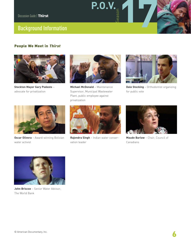# **Background Information**

### **People We Meet in Thirst**



**Stockton Mayor Gary Podesto** – advocate for privatization



**P.O.V.** 

**Michael McDonald** – Maintenance Supervisor, Municipal Wastewater Plant, public employee against privatization



**Dale Stocking** – Orthodontist organizing for public vote



**Oscar Olivera** – Award-winning Bolivian water activist



**Rajendra Singh** – Indian water conservation leader



**Maude Barlow** – Chair, Council of Canadians



**John Briscoe** – Senior Water Advisor, The World Bank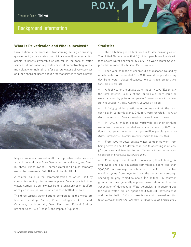# **Background Information**

### **What Is Privatization and Who Is Involved?**

Privatization is the process of transferring, selling or divesting government (usually state or municipal-owned) services and/or assets to private ownership or control. In the case of water services, it can mean a private corporation contracting with a municipality to maintain and/or operate water delivery services and then charging users enough for that service to earn a profit.



Major companies involved in efforts to privatize water services around the world are: Suez, Veolia (formerly Vivendi), and Saur, (all three French owned), Thames Water (an English company owned by Germany's RWE AG), and Bechtel (U.S.).

A related issue is the commodification of water itself by companies selling it in the marketplace. An example is bottled water. Companies pump water from natural springs or aquifers or rely on municipal water which is then bottled for sale.

The three largest water bottling companies in the world are Nestlé (including Perrier, Vittel, Pellegrino, Arrowhead, Calistoga, Ice Mountain, Deer Park, and Poland Springs brands), Coca-Cola (Dasani), and PepsiCo (Aquafina).

### **Statistics**

**P.O.V.** 

Over a billion people lack access to safe drinking water. The United Nations says that 2.7 billion people worldwide will face severe water shortages by 2025. The World Water Council puts that number at 4 billion. (PACIFIC [INSTITUTE\)](http://www.pacinst.org/water_needs.htm)

Each year, millions of children die of diseases caused by unsafe water. An estimated 8 to 11 thousand people die every day from water-related diseases. (UNITED NATIONS ECONOMIC AND SOCIAL COUNCIL 2/11/04]

• A lobbyist for the private water industry says "Essentially the total potential is 85% of the utilities out there could be eventually run by private companies." (INTERVIEW WITH PETER COOK, EXECUTIVE DIRECTOR, NATIONAL ASSOCIATION OF WATER COMPANIES)

• In 2003, 3 million plastic water bottles went into the trash each day in California alone. Only 16% were recycled. (*THE WATER BARONS*, INTERNATIONAL CONSORTIUM OF INVESTIGATIVE JOURNALISTS, 2003.)

• In 1990, 51 million people worldwide got their drinking water from privately operated water companies. By 2002 that figure had grown to more than 300 million people. (*THE WATER BARONS*, INTERNATIONAL CONSORTIUM OF INVESTIGATIVE JOURNALISTS, 2003.)

• From 1990 to 2002, private water companies went from being active in about a dozen countries to operating in at least 56 countries and two territories. (*THE WATER BARONS*, INTERNATIONAL CONSORTIUM OF INVESTIGATIVE JOURNALISTS, 2003.)

• From 1995 through 1998, the water utility industry, its employees and political action committees, spent less than \$500,000 on campaign contributions in the U.S. In the two election cycles from 1999 to 2002, the industry's campaign spending roughly tripled to about \$1.5 million. By contrast, groups that have generally opposed privatization, such as the Association of Metropolitan Water Agencies, an industry group for public water utilities, spent about \$200,000 between 1996 and the first half of 2002 to make its case with lawmakers. (*THE WATER BARONS*, INTERNATIONAL CONSORTIUM OF INVESTIGATIVE JOURNALISTS, 2003.)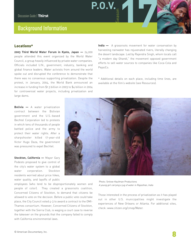# **Background Information**

### **Locations\***

**2003 Third World Water Forum in Kyoto, Japan —** 24,000 people attended this event organized by the World Water Council, a group heavily influenced by private water companies. Officials included U.N., government, industry, banking and global finance leaders. Water activists from around the world spoke out and disrupted the conference to demonstrate that there was no consensus supporting privatization. Despite the protest, in January, 2004, the World Bank announced an increase in funding from \$1.3 billion in 2003 to \$4 billion in 2004 for controversial water projects, including privatization and large dams.

**India —** A grassroots movement for water conservation by harvesting rainwater has rejuvenated rivers, literally changing the desert landscape. Led by Rajendra Singh, whom locals call "a modern day Ghandi," the movement opposed government efforts to sell water sources to companies like Coca-Cola and PepsiCo.

**P.O.V.** 

\* Additional details on each place, including time lines, are available at the film's website (see Resources).

**Bolivia —** A water privatization contract between the Bolivian government and the U.S.-based Bechtel Corporation led to protests in which tens of thousands of people battled police and the army to protect their water rights. After a sharpshooter killed 17-year-old Victor Hugo Daza, the government was pressured to expel Bechtel.

**Stockton, California —** Mayor Gary Podesto proposed to give control of the city's water system to a global water corporation. Stockton residents worried about price hikes, water quality, and layoffs of public



employees (who tend to be disproportionately women and people of color). They created a grassroots coalition, Concerned Citizens of Stockton, to demand that citizens be allowed to vote on the decision. Before a public vote could take place, the City Council voted 4-3 to award a contract to the OMI-Thames consortium. However, Concerned Citizens of Stockton, together with the Sierra Club, is waging a court case to reverse the takeover on the grounds that the company failed to comply with California environmental laws.

Photo: Snitow-Kaufman Productions *A young girl carrying a jug of water in Rajasthan, India* 

Those interested in the process of privatization as it has played out in other U.S. municipalities might investigate the experiences of New Orleans or Atlanta. For additional sites, check: www.citizen.org/cmep/Water.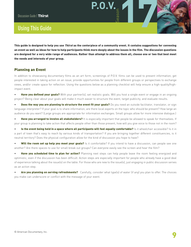# **Using This Guide**

**This guide is designed to help you use Thirst as the centerpiece of a community event. It contains suggestions for convening an event as well as ideas for how to help participants think more deeply about the issues in the film. The discussion questions are designed for a very wide range of audiences. Rather than attempt to address them all, choose one or two that best meet the needs and interests of your group.**

**P.O.V.**<br>  $\begin{array}{c} \begin{array}{c} \circ \\ \circ \\ \circ \\ \circ \end{array} \end{array}$ 

### **Planning an Event**

In addition to showcasing documentary films as an art form, screenings of P.O.V. films can be used to present information, get people interested in taking action on an issue, provide opportunities for people from different groups or perspectives to exchange views, and/or create space for reflection. Using the questions below as a planning checklist will help ensure a high-quality/highimpact event.

• **Have you defined your goals?** With your partner(s), set realistic goals. Will you host a single event or engage in an ongoing project? Being clear about your goals will make it much easier to structure the event, target publicity, and evaluate results.

**Does the way you are planning to structure the event fit your goals?** Do you need an outside facilitator, translator, or sign language interpreter? If your goal is to share information, are there local experts on the topic who should be present? How large an audience do you want? (Large groups are appropriate for information exchanges. Small groups allow for more intensive dialogue.)

• **Have you arranged to involve all stakeholders?** It is especially important that people be allowed to speak for themselves. If your group is planning to take action that affects people other than those present, how will you give voice to those not in the room?

• **Is the event being held in a space where all participants will feel equally comfortable?** Is it wheelchair accessible? Is it in a part of town that's easy to reach by various kinds of transportation? If you are bringing together different constituencies, is it neutral territory? Does the physical configuration allow for the kind of discussion you hope to have?

• **Will the room set up help you meet your goals?** Is it comfortable? If you intend to have a discussion, can people see one another? Are there spaces to use for small break out groups? Can everyone easily see the screen and hear the film?

• **Have you scheduled time to plan for action?** Planning next steps can help people leave the room feeling energized and optimistic, even if the discussion has been difficult. Action steps are especially important for people who already have a good deal of experience talking about the issue(s) on the table. For those who are new to the issue(s), just engaging in public discussion serves as an action step.

• **Are you planning on serving refreshments?** Carefully, consider what type(s) of water (if any) you plan to offer. The choices you make can underscore or conflict with the message of your event.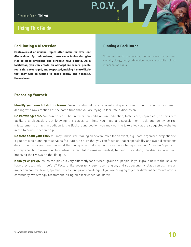# **Using This Guide**

### **Facilitating a Discussion**

**Controversial or unusual topics often make for excellent discussions. By their nature, those same topics also give rise to deep emotions and strongly held beliefs. As a facilitator, you can create an atmosphere where people feel safe, encouraged, and respected, making it more likely that they will be willing to share openly and honestly. Here's how:**

### **Finding a Facilitator**

**P.O.V.**<br>  $\begin{array}{c} \begin{array}{c} \circ \\ \circ \\ \circ \\ \circ \end{array} \end{array}$ 

Some university professors, human resource professionals, clergy, and youth leaders may be specially trained in facilitation skills.

### **Preparing Yourself**

**Identify your own hot-button issues.** View the film before your event and give yourself time to reflect so you aren't dealing with raw emotions at the same time that you are trying to facilitate a discussion.

**Be knowledgeable.** You don't need to be an expert on child welfare, addiction, foster care, depression, or poverty to facilitate a discussion, but knowing the basics can help you keep a discussion on track and gently correct misstatements of fact. In addition to the Background section, you may want to take a look at the suggested websites in the Resource section on p. 18.

**Be clear about your role.** You may find yourself taking on several roles for an event, e.g., host, organizer, projectionist. If you are also planning to serve as facilitator, be sure that you can focus on that responsibility and avoid distractions during the discussion. Keep in mind that being a facilitator is not the same as being a teacher. A teacher's job is to convey specific information. In contrast, a facilitator remains neutral, helping move along the discussion without imposing their views on the dialogue.

**Know your group.** Issues can play out very differently for different groups of people. Is your group new to the issue or have they dealt with it before? Factors like geography, age, race, religion, and socioeconomic class can all have an impact on comfort levels, speaking styles, and prior knowledge. If you are bringing together different segments of your community, we strongly recommend hiring an experienced facilitator.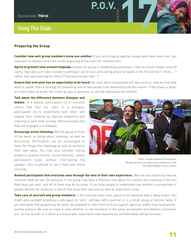# **Using This Guide**

### **Preparing the Group**

**Consider how well group members know one another.** If you are bringing together people who have never met, you may want to devote some time at the beginning of the event for introductions.

**P.O.V.** 

**Agree to ground rules around language.** Involve the group in establishing some basic rules to ensure respect and aid clarity. Typically such rules include no yelling or use of slurs and asking people to speak in the first person ("I think….") rather than generalizing for others ("Everyone knows that…").

**Ensure that everyone has an opportunity to be heard.** Be clear about how people will take turns or indicate that they want to speak. Plan a strategy for preventing one or two people from dominating the discussion. If the group is large, are there plans to break into small groups or partners, or should attendance be limited?

**Talk about the difference between dialogue and** debate. In a debate, participants try to convince

others that they are right. In a dialogue, participants try to understand each other and expand their thinking by sharing viewpoints and listening to each other actively. Remind people that they are engaged in a dialogue.

**Encourage active listening.** Ask the group to think of the event as being about listening, as well as discussing. Participants can be encouraged to listen for things that challenge as well as reinforce their own ideas. You may also consider asking people to practice formal "active listening," where participants listen without interrupting the speaker, then re-phrase to see if they have heard correctly.



Photo: Snitow-Kaufman Productions *Vandana Shiva at a protest press conference at the Third World Water Forum in Kyoto* 

**Remind participants that everyone sees through the lens of their own experience.** Who we are influences how we interpret what we see. So everyone in the group may have a different view about the content and meaning of the film they have just seen, and all of them may be accurate. It can help people to understand one another's perspectives if people identify the evidence on which they base their opinions as well as share their views.

**Take care of yourself and group members.** If the intensity level rises, pause to let everyone take a deep breath. You might also consider providing a safe space to "vent," perhaps with a partner or in a small group of familiar faces. If you anticipate that people may be upset, be prepared to refer them to local support agencies and/or have local professionals present. Be sure to make it clear whether or not members of the press are present and whether comments are "on the record" or if there is a reasonable expectation that requests for confidentiality will be honored.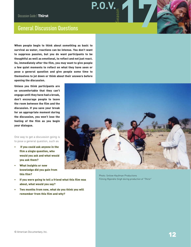### **General Discussion Questions**

**When people begin to think about something as basic to survival as water, reactions can be intense. You don't want to suppress passion, but you do want participants to be thoughtful as well as emotional, to reflect and not just react. So, immediately after the film, you may want to give people a few quiet moments to reflect on what they have seen or pose a general question and give people some time to themselves to jot down or think about their answers before opening the discussion.** 

**Unless you think participants are so uncomfortable that they can't engage until they have had a break, don't encourage people to leave the room between the film and the discussion. If you save your break for an appropriate moment during the discussion, you won't lose the feeling of the film as you begin your dialogue.**

One way to get a discussion going is to pose a general question, such as

- **• If you could ask anyone in the film a single question, who would you ask and what would you ask them?**
- **What insights or new knowledge did you gain from this film?**
- **• If you were going to tell a friend what this film was about, what would you say?**
- **• Two months from now, what do you think you will remember from this film and why?**



**P.O.V.** 

Photo: Snitow-Kaufman Productions *Filming Rajendra Singh during production of "Thirst"*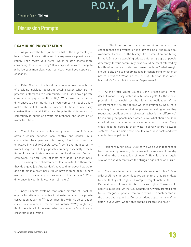# **Discussion Prompts**

#### **EXAMINING PRIVATIZATION**

• As you view the film, jot down a list of the arguments you hear in favor of privatization and the arguments against privatization. Then review your notes. Which column seems more convincing to you and why? If a corporation were trying to privatize your municipal water services, would you support or oppose it?

Peter Woicke of the World Bank underscores the high cost of providing individual access to potable water. What are the potential differences to a community if end users pay a private company or pay a public utility? What are the potential differences to a community if a private company or public utility makes the initial investment needed to finance necessary construction or repair? What are the potential differences to a community in public or private maintenance and operation of water facilities?

The choice between public and private ownership is also often a choice between local control and control by a corporation headquartered far away. Stockton municipal employee Michael McDonald says, "I don't like the idea of my water being controlled by a private company, especially in these times. I'd rather it stay here under our local control. And our employees live here. Most of them have gone to school here. They're raising their children here. It's important to them that they do a good job. And we don't have to think about how we're going to make a profit here. All we have to think about is how we can … provide a good service to the citizens." What difference do you think local control makes?

• Gary Podesto explains that some citizens of Stockton oppose his attempts to contract out water services to a private corporation by saying, "They confuse this with this globalization issue." In your view, are the citizens confused? Why might they think there is a link between what happened in Stockton and corporate globalization?

In Stockton, as in many communities, one of the consequences of privatization is a downsizing of the municipal workforce. Because of the history of discrimination and hiring in the U.S., such downsizing affects different groups of people differently. In your community, who would be most affected by layoffs of workers at water and sewer facilities? What weight should a city give to preserving jobs in considering whether or not to privatize? What did the city of Stockton lose when Michael McDonald left the Water Department?

**P.O.V.**<br>  $\begin{array}{c} \begin{array}{c} \circ \\ \circ \\ \circ \\ \circ \end{array} \end{array}$ 

At the World Water Council, John Briscoe says, "What does it mean to say water is a human right? As those who proclaim it so would say that it is the obligation of the government of X to provide free water to everybody. Well, that's a fantasy." Is free water what people are requesting, or are they requesting public provision of water? What is the difference? Considering that people need water to live, what should be done in situations where individuals cannot afford to pay? Many cities need to upgrade their water delivery and/or sewage systems. In your opinion, who should cover these costs and how should they be paid for?

Rajendra Singh says, "Just as we won our independence from colonial oppression, I hope we will be successful one day in ending the privatization of water." How is this struggle similar to and different from the struggle against colonial rule?

• Many people in the film make reference to "rights." Make a list of all the different entities you can think of that are entitled to and that grant "rights." Examples might include the UN Declaration of Human Rights or divine rights. Those would apply to all people. Or the U.S. Constitution, which grants rights to the category of people who are citizens. Let each person in the group share your list. Do corporations appear on any of the lists? In your view, what rights should corporations have?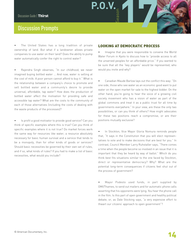# **Discussion Prompts**

The United States has a long tradition of private ownership of land. But what if a landowner allows private companies to use water on their land? Does the ability to pump water automatically confer the right to control water?

Rajendra Singh observes, "In our childhood, we never imagined buying bottled water … And now, water is selling at the cost of milk. A poor person cannot afford to buy it." What is the relationship between a company's choice to promote and sell bottled water and a community's desire to provide universal, affordable, tap water? How does the production of bottled water affect the motivation for providing safe and accessible tap water? What are the costs to the community of each of those alternatives (including the costs of dealing with the waste products of the processes)?

Is profit a good motivator to provide good service? Can you think of specific examples where this is true? Can you think of specific examples where it is not true? Do market forces work the same way for resources like water, a resource absolutely necessary for basic human survival and a service that tends to be a monopoly, than for other kinds of goods or services? Should basic necessities be governed by their own set of rules, and if so, what kinds of rules? If you had to make a list of basic necessities, what would you include?

### **LOOKING AT DEMOCRATIC PROCESS**

**P.O.V.**<br>  $\begin{array}{c} \begin{array}{c} \circ \\ \circ \\ \circ \\ \circ \end{array} \end{array}$ 

Imagine that you were responsible to convene the World Water Forum in Kyoto to discuss how to "provide access to all the unserved peoples for an affordable price." If you wanted to be sure that all the "key players" would be represented, who would you invite and why?

• Canadian Maude Barlow lays out the conflict this way: "On one side, those who see water as an economic good want to put water on the open market for sale to the highest bidder. On the other hand, you're going to hear the voice of a growing civil society movement who has a vision of water as part of the global commons and treat it as a public trust for all time by governments everywhere." In your view, are these the only two possibilities, or can you think of others? How might advocates for these two positions reach a compromise, or are their positions mutually exclusive?

In Stockton, Vice Mayor Gloria Nomura reminds people that, "It says in the Constitution that you will elect representatives to vote and to make decisions that are best for you." In contrast, Council Member Larry Ruhstaller says, "There comes a time when the people become so involved in an issue that it is important that they be heard by way of ballot." Which do you think best fits situations similar to the one faced by Stockton, direct or representative democracy? Why? What are the potential long-term consequences if citizens feel shut out of the process of government?

• Mayor Podesto used funds, in part supplied by OMI/Thames, to send out mailers and for automatic phone calls asserting that his opponents were lying. You hear the phone call in the film. Is this part of open government and healthy political debate, or, as Dale Stocking says, "a very expensive effort to thwart our citizens' approach to open government"?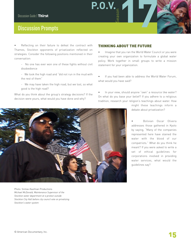# **Discussion Prompts**

Reflecting on their failure to defeat the contract with Thames, Stockton opponents of privatization reflected on strategies. Consider the following positions mentioned in their conversation:

- No one has ever won one of these fights without civil disobedience
- We took the high road and "did not run in the mud with the rest of them"
- We may have taken the high road, but we lost, so what good is the high road?

What do you think about the group's strategy decisions? If the decision were yours, what would you have done and why?

### **THINKING ABOUT THE FUTURE**

**P.O.V.** 

Imagine that you ran the World Water Council or you were creating your own organization to formulate a global water policy. Work together in small groups to write a mission statement for your organization.

If you had been able to address the World Water Forum, what would you have said?

In your view, should anyone "own" a resource like water? On what do you base your belief? If you adhere to a religious tradition, research your religion's teachings about water. How

> might these teachings inform a debate about privatization?

> • Bolivian Oscar Olivera addresses those gathered in Kyoto by saying, "Many of the companies represented here have stained the water with the blood of our compatriots." What do you think he meant? If you were asked to write a set of ethical guidelines for corporations involved in providing water services, what would the guidelines say?



*Michael McDonald, Maintenance Supervisor of the Stockton water department at a protest outside Stockton City Hall before city council vote on privatizing Stockton's water system*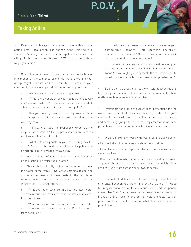# **Taking Action**

• Rajendra Singh says, "Let me tell you one thing: local action, small local action, can change global thinking in a second.… Starting from such a small spot, it spreads in the village, in the country and the world." What small, local thing might you start?

One of the issues around privatization has been a lack of information or the existence of misinformation. You and your group might conduct and disseminate research in your community to answer any or all of the following questions:

o Who runs your municipal water system?

o What is the condition of your local water delivery and/or sewer systems? If repairs or upgrades are needed, what plans are in place to finance those repairs?

o Has your local government been approached by a water corporation offering to take over operation of the water system?

o If so, what was the response? What has the corporation promised? Do its promises square with its track record in other places?

o What rates do people in your community pay for water? Compare this with rates charged by public and private utilities in similar communities.

o Where do local officials running for re-election stand on the issue of privatization of water?

o Check labels of locally sold bottled water. Where does the water come from? Have water samples tested and compare the results of those tests to the results of required tests performed on your community's tap water. Which water is consistently safer?

o What policies or laws are in place to protect water sources in your area (rivers, streams, aquifers, lakes, etc.) from pollution?

o What policies or laws are in place to protect water sources in your area (rivers, streams, aquifers, lakes, etc.) from depletion?

o Who are the largest consumers of water in your community? Farmers? Golf courses? Factories? Laundries? Car washes? Others? How might you work with these entities to conserve water?

**P.O.V.**<br>  $\begin{array}{c} \begin{array}{c} \circ \\ \circ \\ \circ \\ \circ \end{array} \end{array}$ 

o Do institutions in your community invest pension plan or other funds in companies involved in water privatization? How might you approach those institutions to invest in ways that reflect your position on privatization?

• Before a crisis situation arises, work with local politicians to create processes for public input on decisions about critical matters such as privatization of utilities.

Investigate the status of current legal protections for the water source(s) that provides drinking water for your community. Work with local politicians, municipal employees, and community groups to ensure the implementation of these protections or the creation of new laws where necessary.

• Organize forums or work with local media to give voice to:

- People distributing information about privatization

- Union leaders or other representatives of your local water and sewer workers

- Discussions about which community resources should remain as part of the public trust or as civic spaces and which things are okay for private companies to own or control.

Conduct blind taste tests to see if people can tell the difference between tap water and bottled waters. A "Good Morning America" test of its studio audience found that people chose New York City tap water as a heavy favorite over such brands as Evian and Poland Spring. Hold the taste tests at public events and use the event to distribute information about privatization. ++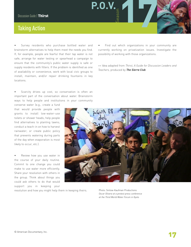# **Taking Action**

Survey residents who purchase bottled water and brainstorm alternatives to help them meet the needs you find. If, for example, people are fearful that their tap water is not safe, arrange for water testing or spearhead a campaign to ensure that the community's public water supply is safe or supply residents with filters. If the problem is identified as one of availability or convenience, work with local civic groups to install, maintain, and/or repair drinking fountains in key locations.

• Scarcity drives up cost, so conservation is often an important part of the conversation about water. Brainstorm ways to help people and institutions in your community

conserve water (e.g., create a fund that would provide people with grants to install low-water-use toilets or shower heads; help people find alternatives to planting lawns; conduct a teach-in on how to harvest rainwater; or create public policy that prevents watering during parts of the day when evaporation is most likely to occur, etc.).

Review how you use water in the course of your daily routine. Commit to one change you could make to use water more efficiently. Share your resolution with others in the group. Think about things you could ask others to do that would support you in keeping your

• Find out which organizations in your community are currently working on privatization issues. Investigate the possibility of working with those organizations.

**P.O.V.** 

++ Idea adapted from *Thirst, A Guide for Discussion Leaders and Teachers,* produced by *The Sierra Club.*



resolution and how you might help them in keeping theirs.

Photo: Snitow-Kaufman Productions *Oscar Olivera at a protest press conference at the Third World Water Forum in Kyoto*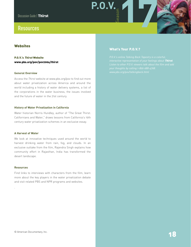### **Resources**

### **Websites**

### **P.O.V.'s Thirst Website [www.pbs.org/pov/pov2004/thirst](http://www.pbs.org/pov/pov2004/thirst)**

#### **General Overview**

Access the *Thirst* website at [www.pbs.org/pov](http://www.pbs.org/pov) to find out more about water privatization across America and around the world including a history of water delivery systems, a list of the corporations in the water business, the issues involved and the future of water in the 21st century.

#### **History of Water Privatization in California**

Water historian Norris Hundley, author of "The Great Thirst: Californians and Water," draws lessons from California's 19th century water privatization schemes in an exclusive essay.

#### **A Harvest of Water**

We look at innovative techniques used around the world to harvest drinking water from rain, fog, and clouds. In an exclusive outtake from the film, Rajendra Singh explains how community effort in Rajasthan, India has transformed the desert landscape.

#### **Resources**

.

Find links to interviews with characters from the film, learn more about the key players in the water privatization debate and visit related PBS and NPR programs and websites.

### **What's Your P.O.V.?**

**P.O.V.**<br>  $\begin{array}{c} \begin{array}{c} \circ \\ \circ \\ \circ \\ \circ \end{array} \end{array}$ 

*interactive representation of your feelings about* **Thirst***. your thoughts by calling 1-800-688-4768.*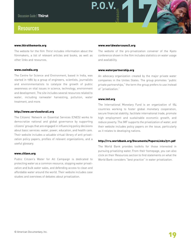### **Resources**

#### **[www.thirstthemovie.org](http://www.thirstthemovie.org/)**

The website for the film *Thirst* includes information about the filmmakers, a list of relevant articles and books, as well as other links and resources.

#### **[www.cseindia.org](http://www.cseindia.org/)**

The Centre for Science and Environment, based in India, was started in 1980 by a group of engineers, scientists, journalists and environmentalists to catalyze the growth of public awareness on vital issues in science, technology, environment and development. The site includes several resources related to water, including rainwater harvesting, pollution, water treatment, and more.

#### **<http://www.servicesforall.org>**

The Citizens' Network on Essential Services (CNES) works to democratize national and global governance by supporting citizens' groups that are engaged in influencing policy decisions about basic services: water, power, education, and health care. Their website includes a valuable virtual library of anti-privatization policy papers, profiles of relevant organizations, and a useful glossary.

#### **[www.citizen.org](http://www.citizen.org)**

Public Citizen's Water for All Campaign is dedicated to protecting water as a common resource, stopping water privatization and bulk water sales, and defending access to clean and affordable water around the world. Their website includes case studies and overviews of debates about privatization.

#### **[www.worldwatercouncil.org](http://www.worldwatercouncil.org)**

**P.O.V.**<br>  $\begin{array}{c} \begin{array}{c} \circ \\ \circ \\ \circ \\ \circ \end{array} \end{array}$ 

The website of the pro-privatization convener of the Kyoto conference shown in the film includes statistics on water usage and availability.

#### **[www.waterpartnership.org](http://www.waterpartnership.org)**

An advocacy organization created by the major private water companies in the Unites States. The group promotes "public private partnerships," the term the group prefers to use instead of "privatization."

#### **[www.imf.org](http://www.imf.org)**

The International Monetary Fund is an organization of 184 countries working to foster global monetary cooperation, secure financial stability, facilitate international trade, promote high employment and sustainable economic growth, and reduce poverty. The IMF supports the privatization of water, and their website includes policy papers on the issue, particularly as it relates to developing nations.

#### **<http://rru.worldbank.org/Documents/PapersLinks/511.pdf>**

The World Bank provides toolkits for those interested in pursuing privatizing water. From their homepage, you can also click on their Resources section to find statements on what the World Bank considers "best practice" in water privatization.